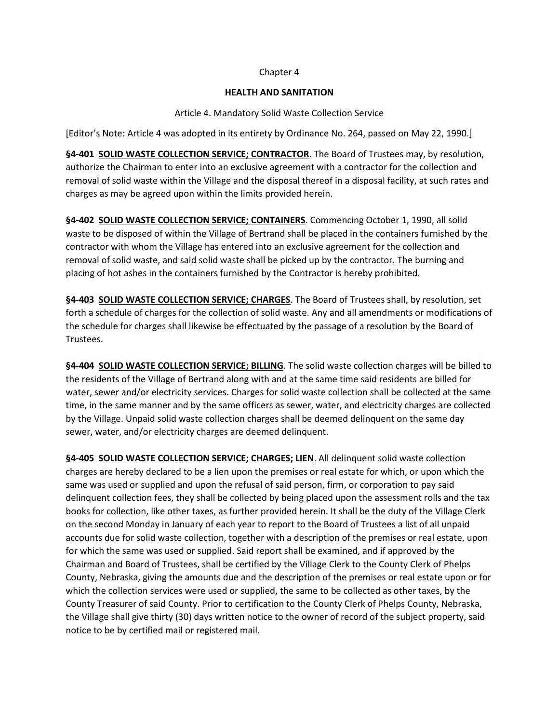### Chapter 4

### **HEALTH AND SANITATION**

### Article 4. Mandatory Solid Waste Collection Service

[Editor's Note: Article 4 was adopted in its entirety by Ordinance No. 264, passed on May 22, 1990.]

**§4-401 SOLID WASTE COLLECTION SERVICE; CONTRACTOR**. The Board of Trustees may, by resolution, authorize the Chairman to enter into an exclusive agreement with a contractor for the collection and removal of solid waste within the Village and the disposal thereof in a disposal facility, at such rates and charges as may be agreed upon within the limits provided herein.

**§4-402 SOLID WASTE COLLECTION SERVICE; CONTAINERS**. Commencing October 1, 1990, all solid waste to be disposed of within the Village of Bertrand shall be placed in the containers furnished by the contractor with whom the Village has entered into an exclusive agreement for the collection and removal of solid waste, and said solid waste shall be picked up by the contractor. The burning and placing of hot ashes in the containers furnished by the Contractor is hereby prohibited.

**§4-403 SOLID WASTE COLLECTION SERVICE; CHARGES**. The Board of Trustees shall, by resolution, set forth a schedule of charges for the collection of solid waste. Any and all amendments or modifications of the schedule for charges shall likewise be effectuated by the passage of a resolution by the Board of Trustees.

**§4-404 SOLID WASTE COLLECTION SERVICE; BILLING**. The solid waste collection charges will be billed to the residents of the Village of Bertrand along with and at the same time said residents are billed for water, sewer and/or electricity services. Charges for solid waste collection shall be collected at the same time, in the same manner and by the same officers as sewer, water, and electricity charges are collected by the Village. Unpaid solid waste collection charges shall be deemed delinquent on the same day sewer, water, and/or electricity charges are deemed delinquent.

**§4-405 SOLID WASTE COLLECTION SERVICE; CHARGES; LIEN**. All delinquent solid waste collection charges are hereby declared to be a lien upon the premises or real estate for which, or upon which the same was used or supplied and upon the refusal of said person, firm, or corporation to pay said delinquent collection fees, they shall be collected by being placed upon the assessment rolls and the tax books for collection, like other taxes, as further provided herein. It shall be the duty of the Village Clerk on the second Monday in January of each year to report to the Board of Trustees a list of all unpaid accounts due for solid waste collection, together with a description of the premises or real estate, upon for which the same was used or supplied. Said report shall be examined, and if approved by the Chairman and Board of Trustees, shall be certified by the Village Clerk to the County Clerk of Phelps County, Nebraska, giving the amounts due and the description of the premises or real estate upon or for which the collection services were used or supplied, the same to be collected as other taxes, by the County Treasurer of said County. Prior to certification to the County Clerk of Phelps County, Nebraska, the Village shall give thirty (30) days written notice to the owner of record of the subject property, said notice to be by certified mail or registered mail.